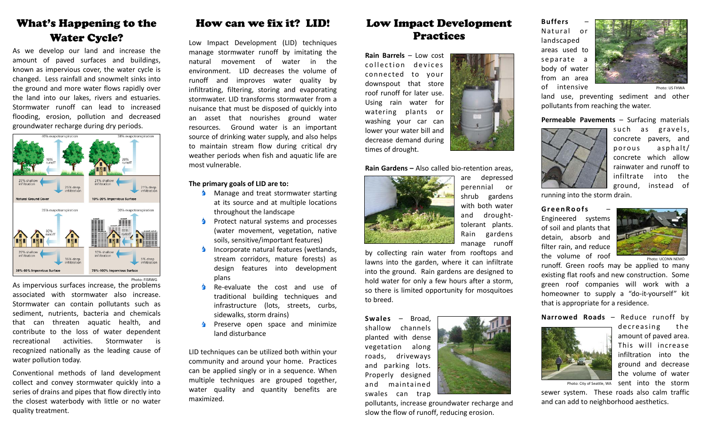# What's Happening to the Water Cycle?

As we develop our land and increase the amount of paved surfaces and buildings, known as impervious cover, the water cycle is changed. Less rainfall and snowmelt sinks into the ground and more water flows rapidly over the land into our lakes, rivers and estuaries. Stormwater runoff can lead to increased flooding, erosion, pollution and decreased groundwater recharge during dry periods.



As impervious surfaces increase, the problems associated with stormwater also increase. Stormwater can contain pollutants such as sediment, nutrients, bacteria and chemicals that can threaten aquatic health, and contribute to the loss of water dependent recreational activities. Stormwater isrecognized nationally as the leading cause of water pollution today.

Conventional methods of land development collect and convey stormwater quickly into <sup>a</sup> series of drains and pipes that flow directly into the closest waterbody with little or no water quality treatment.

### How can we fix it? LID!

Low Impact Development (LID) techniques manage stormwater runoff by imitating the natural movement of water in the environment. LID decreases the volume of runoff and improves water quality by infiltrating, filtering, storing and evaporating stormwater. LID transforms stormwater from a nuisance that must be disposed of quickly into an asset that nourishes ground water resources. Ground water is an important source of drinking water supply, and also helps to maintain stream flow during critical dry weather periods when fish and aquatic life are most vulnerable.

#### **The primary goals of LID are to:**

- **A** Manage and treat stormwater starting at its source and at multiple locations throughout the landscape
- ٠ Protect natural systems and processes (water movement, vegetation, native soils, sensitive/important features)
- Ò. Incorporate natural features (wetlands, stream corridors, mature forests) as design features into development plans
- ♦. Re‐evaluate the cost and use of traditional building techniques and infrastructure (lots, streets, curbs, sidewalks, storm drains)
- ٠ Preserve open space and minimize land disturbance

LID techniques can be utilized both within your community and around your home. Practices can be applied singly or in <sup>a</sup> sequence. When multiple techniques are grouped together, water quality and quantity benefits are maximized.

### Low Impact Development Practices

**Rain Barrels** – Low cost collection devices connected to your downspout that store roof runoff for later use. Using rain water for watering plants or washing your car can lower your water bill and decrease demand during times of drought.

#### **Rain Gardens –** Also called bio‐retention areas,



are depressed perennial or shrub gardens with both water and drought‐ tolerant plants. Rain gardens manage runoff

by collecting rain water from rooftops and lawns into the garden, where it can infiltrate into the ground. Rain gardens are designed to hold water for only <sup>a</sup> few hours after <sup>a</sup> storm, so there is limited opportunity for mosquitoes to breed.

**Swales**– Broad, shallow channels planted with dense vegetation along roads, driveways and parking lots. Properly designed and maintained swales can trap

pollutants, increase groundwater recharge and slow the flow of runoff, reducing erosion.

#### **Buffers**Natural

 o rlandscaped areas used toseparate <sup>a</sup> body of water from an area of intensive

Photo: US FHWA

land use, preventing sediment and other pollutants from reaching the water.

#### **Permeable Pavements** – Surfacing materials



suchas gravels, concrete pavers, and porous asphalt/ concrete which allowrainwater and runoff toinfiltrate into the ground, instead of

running into the storm drain.

**GreenRoofs**Engineered systems of soil and plants that detain, absorb and filter rain, and reduce the volume of roof



runoff. Green roofs may be applied to many Photo: UCONN NEMO

existing flat roofs and new construction. Some green roof companies will work with <sup>a</sup> homeowner to supply <sup>a</sup> "do‐it‐yourself" kit that is appropriate for <sup>a</sup> residence.

**Narrowed Roads** – Reduce runoff by



decreasing the amount of paved area. This will increaseinfiltration into the ground and decrease the volume of water sent into the storm

Photo: City of Seattle, WA

sewer system. These roads also calm traffic and can add to neighborhood aesthetics.